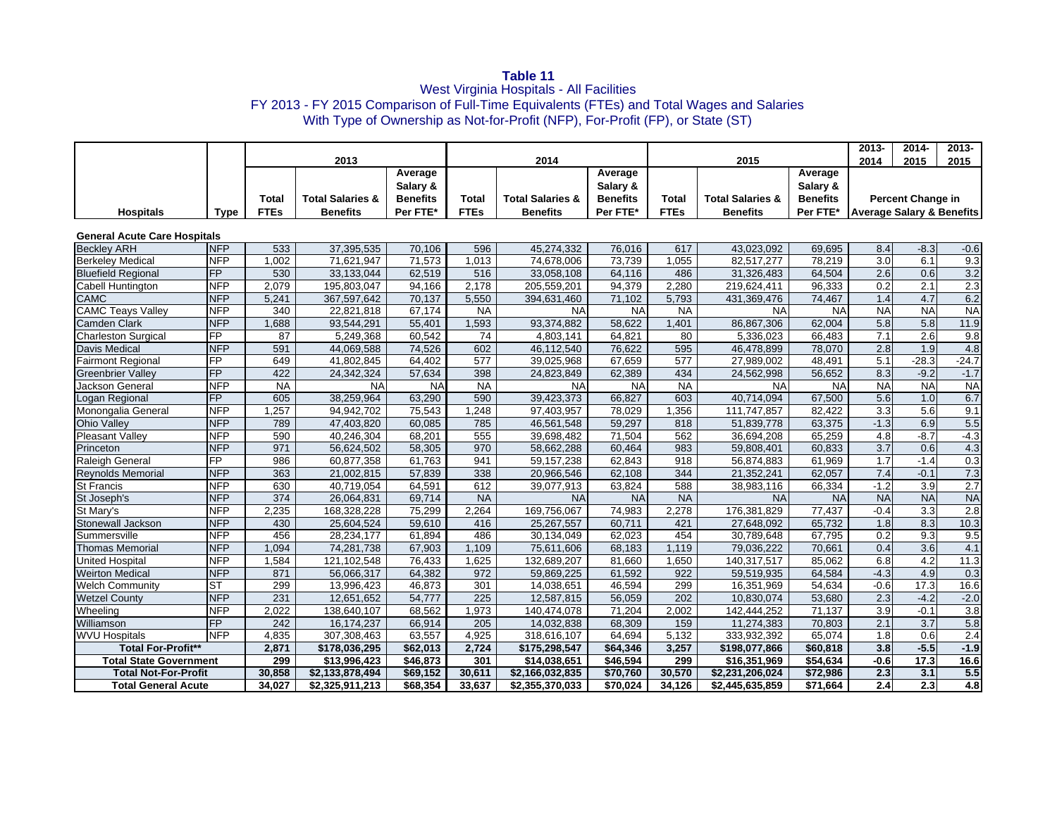**Table 11**<br>West Virginia Hospitals - All Facilities FY 2013 - FY 2015 Comparison of Full-Time Equivalents (FTEs) and Total Wages and Salaries With Type of Ownership as Not-for-Profit (NFP), For-Profit (FP), or State (ST)

|                                     |                 |             |                             |                 |                  |                             |                 |             |                             |                 | $2013 -$                             | $2014 -$                 | $2013 -$         |
|-------------------------------------|-----------------|-------------|-----------------------------|-----------------|------------------|-----------------------------|-----------------|-------------|-----------------------------|-----------------|--------------------------------------|--------------------------|------------------|
|                                     |                 |             | 2013                        |                 |                  | 2014                        |                 |             | 2015                        |                 | 2014                                 | 2015                     | 2015             |
|                                     |                 |             |                             | Average         |                  |                             | Average         |             |                             | Average         |                                      |                          |                  |
|                                     |                 |             |                             | Salary &        |                  |                             | Salary &        |             |                             | Salary &        |                                      |                          |                  |
|                                     |                 | Total       | <b>Total Salaries &amp;</b> | <b>Benefits</b> | Total            | <b>Total Salaries &amp;</b> | <b>Benefits</b> | Total       | <b>Total Salaries &amp;</b> | <b>Benefits</b> |                                      | <b>Percent Change in</b> |                  |
| <b>Hospitals</b>                    | <b>Type</b>     | <b>FTEs</b> | <b>Benefits</b>             | Per FTE*        | <b>FTEs</b>      | <b>Benefits</b>             | Per FTE*        | <b>FTEs</b> | <b>Benefits</b>             | Per FTE*        | <b>Average Salary &amp; Benefits</b> |                          |                  |
|                                     |                 |             |                             |                 |                  |                             |                 |             |                             |                 |                                      |                          |                  |
| <b>General Acute Care Hospitals</b> |                 |             |                             |                 |                  |                             |                 |             |                             |                 |                                      |                          |                  |
| <b>Beckley ARH</b>                  | <b>NFP</b>      | 533         | 37,395,535                  | 70,106          | 596              | 45,274,332                  | 76,016          | 617         | 43,023,092                  | 69,695          | 8.4                                  | $-8.3$                   | $-0.6$           |
| <b>Berkeley Medical</b>             | <b>NFP</b>      | 1,002       | 71,621,947                  | 71,573          | 1,013            | 74,678,006                  | 73,739          | 1.055       | 82,517,277                  | 78.219          | $\overline{3.0}$                     | 6.1                      | 9.3              |
| <b>Bluefield Regional</b>           | <b>FP</b>       | 530         | 33,133,044                  | 62,519          | 516              | 33,058,108                  | 64,116          | 486         | 31,326,483                  | 64,504          | $\overline{2.6}$                     | 0.6                      | 3.2              |
| <b>Cabell Huntington</b>            | <b>NFP</b>      | 2,079       | 195,803,047                 | 94,166          | 2,178            | 205,559,201                 | 94,379          | 2,280       | 219,624,411                 | 96,333          | $\overline{0.2}$                     | $\overline{2.1}$         | 2.3              |
| <b>CAMC</b>                         | <b>NFP</b>      | 5,241       | 367,597,642                 | 70,137          | 5,550            | 394,631,460                 | 71,102          | 5,793       | 431,369,476                 | 74,467          | 1.4                                  | 4.7                      | 6.2              |
| <b>CAMC Teays Valley</b>            | <b>NFP</b>      | 340         | 22,821,818                  | 67,174          | <b>NA</b>        | <b>NA</b>                   | <b>NA</b>       | <b>NA</b>   | <b>NA</b>                   | <b>NA</b>       | <b>NA</b>                            | <b>NA</b>                | <b>NA</b>        |
| <b>Camden Clark</b>                 | <b>NFP</b>      | 1,688       | 93.544.291                  | 55,401          | 1,593            | 93.374.882                  | 58,622          | 1,401       | 86,867,306                  | 62,004          | 5.8                                  | $\overline{5.8}$         | 11.9             |
| <b>Charleston Surgical</b>          | $\overline{FP}$ | 87          | 5,249,368                   | 60,542          | $\overline{74}$  | 4,803,141                   | 64,821          | 80          | 5,336,023                   | 66,483          | 7.1                                  | 2.6                      | 9.8              |
| <b>Davis Medical</b>                | <b>NFP</b>      | 591         | 44,069,588                  | 74,526          | 602              | 46,112,540                  | 76,622          | 595         | 46,478,899                  | 78,070          | 2.8                                  | 1.9                      | 4.8              |
| <b>Fairmont Regional</b>            | FP              | 649         | 41,802,845                  | 64,402          | 577              | 39,025,968                  | 67,659          | 577         | 27,989,002                  | 48,491          | 5.1                                  | $-28.3$                  | $-24.7$          |
| <b>Greenbrier Valley</b>            | FP              | 422         | 24,342,324                  | 57,634          | 398              | 24,823,849                  | 62,389          | 434         | 24,562,998                  | 56,652          | 8.3                                  | $-9.2$                   | $-1.7$           |
| Jackson General                     | <b>NFP</b>      | <b>NA</b>   | <b>NA</b>                   | <b>NA</b>       | <b>NA</b>        | <b>NA</b>                   | <b>NA</b>       | <b>NA</b>   | <b>NA</b>                   | <b>NA</b>       | <b>NA</b>                            | <b>NA</b>                | <b>NA</b>        |
| Logan Regional                      | FP              | 605         | 38,259,964                  | 63,290          | 590              | 39,423,373                  | 66,827          | 603         | 40,714,094                  | 67,500          | 5.6                                  | 1.0                      | 6.7              |
| Monongalia General                  | <b>NFP</b>      | 1,257       | 94.942.702                  | 75,543          | 1,248            | 97,403,957                  | 78,029          | 1,356       | 111,747,857                 | 82,422          | 3.3                                  | 5.6                      | 9.1              |
| Ohio Valley                         | <b>NFP</b>      | 789         | 47,403,820                  | 60,085          | 785              | 46,561,548                  | 59,297          | 818         | 51,839,778                  | 63,375          | $-1.3$                               | 6.9                      | 5.5              |
| <b>Pleasant Valley</b>              | <b>NFP</b>      | 590         | 40,246,304                  | 68,201          | 555              | 39,698,482                  | 71,504          | 562         | 36,694,208                  | 65,259          | 4.8                                  | $-8.7$                   | $-4.3$           |
| Princeton                           | <b>NFP</b>      | 971         | 56,624,502                  | 58,305          | 970              | 58.662.288                  | 60.464          | 983         | 59,808,401                  | 60,833          | $\overline{3.7}$                     | 0.6                      | 4.3              |
| Raleigh General                     | $\overline{FP}$ | 986         | 60,877,358                  | 61,763          | 941              | 59,157,238                  | 62,843          | 918         | 56,874,883                  | 61,969          | $\overline{1.7}$                     | $-1.4$                   | 0.3              |
| <b>Reynolds Memorial</b>            | <b>NFP</b>      | 363         | 21,002,815                  | 57,839          | 338              | 20,966,546                  | 62,108          | 344         | 21,352,241                  | 62,057          | 7.4                                  | $-0.1$                   | 7.3              |
| St Francis                          | <b>NFP</b>      | 630         | 40,719,054                  | 64,591          | 612              | 39,077,913                  | 63,824          | 588         | 38,983,116                  | 66,334          | $-1.2$                               | 3.9                      | 2.7              |
| St Joseph's                         | <b>NFP</b>      | 374         | 26,064,831                  | 69,714          | <b>NA</b>        | <b>NA</b>                   | <b>NA</b>       | <b>NA</b>   | <b>NA</b>                   | <b>NA</b>       | <b>NA</b>                            | <b>NA</b>                | <b>NA</b>        |
| St Mary's                           | <b>NFP</b>      | 2,235       | 168,328,228                 | 75,299          | 2,264            | 169,756,067                 | 74,983          | 2,278       | 176,381,829                 | 77,437          | $-0.4$                               | $\overline{3.3}$         | 2.8              |
| Stonewall Jackson                   | <b>NFP</b>      | 430         | 25,604,524                  | 59,610          | 416              | 25,267,557                  | 60,711          | 421         | 27,648,092                  | 65,732          | $\overline{1.8}$                     | 8.3                      | 10.3             |
| Summersville                        | <b>NFP</b>      | 456         | 28,234,177                  | 61,894          | 486              | 30,134,049                  | 62,023          | 454         | 30,789,648                  | 67,795          | 0.2                                  | 9.3                      | 9.5              |
| <b>Thomas Memorial</b>              | <b>NFP</b>      | 1,094       | 74,281,738                  | 67,903          | 1,109            | 75,611,606                  | 68,183          | 1,119       | 79,036,222                  | 70,661          | 0.4                                  | $\overline{3.6}$         | 4.1              |
| <b>United Hospital</b>              | <b>NFP</b>      | 1,584       | 121,102,548                 | 76,433          | 1,625            | 132,689,207                 | 81,660          | 1,650       | 140,317,517                 | 85,062          | 6.8                                  | 4.2                      | 11.3             |
| <b>Weirton Medical</b>              | <b>NFP</b>      | 871         | 56,066,317                  | 64,382          | 972              | 59,869,225                  | 61,592          | 922         | 59,519,935                  | 64,584          | $-4.3$                               | 4.9                      | 0.3              |
| <b>Welch Community</b>              | <b>ST</b>       | 299         | 13,996,423                  | 46.873          | 301              | 14,038,651                  | 46.594          | 299         | 16,351,969                  | 54.634          | $-0.6$                               | 17.3                     | 16.6             |
| <b>Wetzel County</b>                | <b>NFP</b>      | 231         | 12,651,652                  | 54,777          | $\overline{225}$ | 12,587,815                  | 56,059          | 202         | 10,830,074                  | 53,680          | 2.3                                  | $-4.2$                   | $-2.0$           |
| Wheeling                            | <b>NFP</b>      | 2,022       | 138,640,107                 | 68,562          | 1,973            | 140,474,078                 | 71,204          | 2,002       | 142,444,252                 | 71,137          | 3.9                                  | $-0.1$                   | $\overline{3.8}$ |
| Williamson                          | <b>FP</b>       | 242         | 16,174,237                  | 66,914          | 205              | 14,032,838                  | 68,309          | 159         | 11,274,383                  | 70,803          | 2.1                                  | $\overline{3.7}$         | 5.8              |
| <b>WVU Hospitals</b>                | <b>NFP</b>      | 4,835       | 307,308,463                 | 63,557          | 4,925            | 318,616,107                 | 64,694          | 5,132       | 333,932,392                 | 65,074          | 1.8                                  | 0.6                      | 2.4              |
| <b>Total For-Profit**</b>           |                 | 2,871       | \$178,036,295               | \$62,013        | 2,724            | \$175,298,547               | \$64,346        | 3,257       | \$198,077,866               | \$60,818        | $\overline{3.8}$                     | $-5.5$                   | $-1.9$           |
| <b>Total State Government</b>       |                 | 299         | \$13,996,423                | \$46,873        | 301              | \$14,038,651                | \$46,594        | 299         | \$16,351,969                | \$54,634        | $-0.6$                               | 17.3                     | 16.6             |
| <b>Total Not-For-Profit</b>         |                 | 30,858      | \$2,133,878,494             | \$69,152        | 30,611           | \$2,166,032,835             | \$70,760        | 30,570      | \$2,231,206,024             | \$72,986        | 2.3                                  | 3.1                      | 5.5              |
| <b>Total General Acute</b>          |                 | 34,027      | \$2,325,911,213             | \$68,354        | 33,637           | \$2,355,370,033             | \$70,024        | 34,126      | \$2,445,635,859             | \$71,664        | $\overline{2.4}$                     | $\overline{2.3}$         | 4.8              |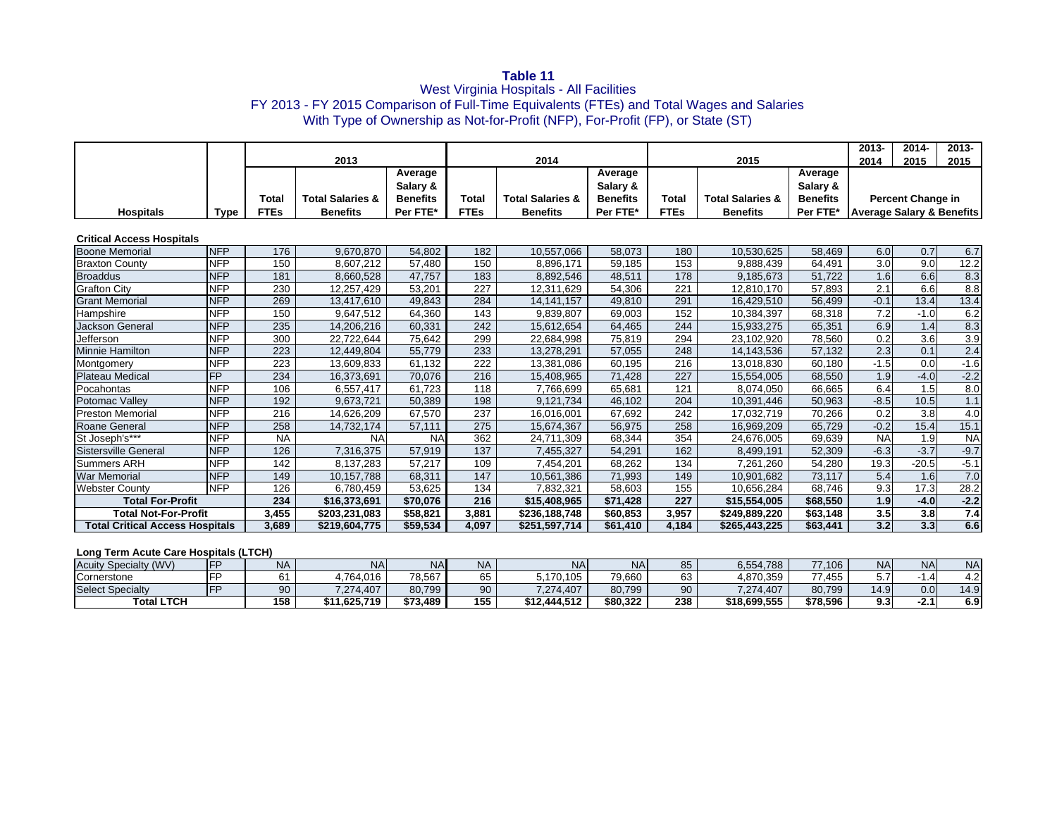**Table 11**<br>West Virginia Hospitals - All Facilities FY 2013 - FY 2015 Comparison of Full-Time Equivalents (FTEs) and Total Wages and Salaries With Type of Ownership as Not-for-Profit (NFP), For-Profit (FP), or State (ST)

|                                        |                 |              |                             |                 |                  |                             |                 |                  |                             |                 | $2013 -$  | $2014 -$                             | $2013 -$  |  |
|----------------------------------------|-----------------|--------------|-----------------------------|-----------------|------------------|-----------------------------|-----------------|------------------|-----------------------------|-----------------|-----------|--------------------------------------|-----------|--|
|                                        |                 |              | 2013                        |                 |                  | 2014                        |                 |                  | 2015                        |                 | 2014      | 2015                                 | 2015      |  |
|                                        |                 |              |                             | Average         |                  |                             | Average         |                  |                             | Average         |           |                                      |           |  |
|                                        |                 |              |                             | Salary &        |                  |                             | Salary &        |                  |                             | Salary &        |           |                                      |           |  |
|                                        |                 | <b>Total</b> | <b>Total Salaries &amp;</b> | <b>Benefits</b> | Total            | <b>Total Salaries &amp;</b> | <b>Benefits</b> | Total            | <b>Total Salaries &amp;</b> | <b>Benefits</b> |           | <b>Percent Change in</b>             |           |  |
| <b>Hospitals</b>                       | <b>Type</b>     | <b>FTEs</b>  | <b>Benefits</b>             | Per FTE*        | <b>FTEs</b>      | <b>Benefits</b>             | Per FTE*        | <b>FTEs</b>      | <b>Benefits</b>             | Per FTE*        |           | <b>Average Salary &amp; Benefits</b> |           |  |
| <b>Critical Access Hospitals</b>       |                 |              |                             |                 |                  |                             |                 |                  |                             |                 |           |                                      |           |  |
| <b>Boone Memorial</b>                  | <b>INFP</b>     | 176          | 9.670.870                   | 54,802          | 182              | 10.557.066                  | 58.073          | 180              | 10.530.625                  | 58,469          | 6.0       | 0.7                                  | 6.7       |  |
| <b>Braxton County</b>                  | <b>NFP</b>      | 150          | 8,607,212                   | 57,480          | 150              | 8,896,171                   | 59,185          | 153              | 9,888,439                   | 64,491          | 3.0       | 9.0                                  | 12.2      |  |
| <b>Broaddus</b>                        | <b>NFP</b>      | 181          | 8,660,528                   | 47,757          | 183              | 8,892,546                   | 48,511          | 178              | 9,185,673                   | 51.722          | 1.6       | 6.6                                  | 8.3       |  |
| <b>Grafton City</b>                    | <b>NFP</b>      | 230          | 12.257.429                  | 53.201          | 227              | 12.311.629                  | 54.306          | 221              | 12.810.170                  | 57.893          | 2.1       | 6.6                                  | 8.8       |  |
| <b>Grant Memorial</b>                  | <b>NFP</b>      | 269          | 13,417,610                  | 49,843          | 284              | 14,141,157                  | 49,810          | 291              | 16,429,510                  | 56,499          | $-0.1$    | 13.4                                 | 13.4      |  |
| Hampshire                              | <b>NFP</b>      | 150          | 9,647,512                   | 64,360          | 143              | 9,839,807                   | 69,003          | 152              | 10,384,397                  | 68,318          | 7.2       | $-1.0$                               | 6.2       |  |
| <b>Jackson General</b>                 | <b>NFP</b>      | 235          | 14,206,216                  | 60,331          | 242              | 15,612,654                  | 64,465          | 244              | 15,933,275                  | 65.351          | 6.9       | 1.4                                  | 8.3       |  |
| Jefferson                              | <b>NFP</b>      | 300          | 22,722,644                  | 75,642          | 299              | 22,684,998                  | 75,819          | 294              | 23,102,920                  | 78,560          | 0.2       | $\overline{3.6}$                     | 3.9       |  |
| Minnie Hamilton                        | <b>NFP</b>      | 223          | 12,449,804                  | 55,779          | 233              | 13,278,291                  | 57,055          | 248              | 14,143,536                  | 57,132          | 2.3       | 0.1                                  | 2.4       |  |
| Montgomery                             | <b>NFP</b>      | 223          | 13,609,833                  | 61.132          | $\overline{222}$ | 13.381.086                  | 60,195          | 216              | 13,018,830                  | 60.180          | $-1.5$    | 0.0                                  | $-1.6$    |  |
| <b>Plateau Medical</b>                 | $\overline{FP}$ | 234          | 16,373,691                  | 70.076          | 216              | 15,408,965                  | 71,428          | $\overline{227}$ | 15,554,005                  | 68.550          | 1.9       | $-4.0$                               | $-2.2$    |  |
| Pocahontas                             | <b>NFP</b>      | 106          | 6.557.417                   | 61.723          | 118              | 7.766.699                   | 65.681          | 121              | 8.074.050                   | 66.665          | 6.4       | 1.5                                  | 8.0       |  |
| Potomac Valley                         | <b>NFP</b>      | 192          | 9.673.721                   | 50,389          | 198              | 9.121.734                   | 46.102          | 204              | 10,391,446                  | 50.963          | $-8.5$    | 10.5                                 | 1.1       |  |
| <b>Preston Memorial</b>                | <b>NFP</b>      | 216          | 14,626,209                  | 67,570          | 237              | 16,016,001                  | 67,692          | 242              | 17,032,719                  | 70,266          | 0.2       | 3.8                                  | 4.0       |  |
| Roane General                          | <b>NFP</b>      | 258          | 14,732,174                  | 57,111          | 275              | 15,674,367                  | 56,975          | 258              | 16,969,209                  | 65.729          | $-0.2$    | 15.4                                 | 15.1      |  |
| St Joseph's***                         | <b>NFP</b>      | <b>NA</b>    | <b>NA</b>                   | <b>NA</b>       | 362              | 24,711,309                  | 68,344          | 354              | 24,676,005                  | 69,639          | <b>NA</b> | 1.9                                  | <b>NA</b> |  |
| <b>Sistersville General</b>            | <b>NFP</b>      | 126          | 7,316,375                   | 57,919          | 137              | 7,455,327                   | 54,291          | 162              | 8.499.191                   | 52,309          | $-6.3$    | $-3.7$                               | $-9.7$    |  |
| <b>Summers ARH</b>                     | <b>NFP</b>      | 142          | 8,137,283                   | 57.217          | 109              | 7.454.201                   | 68.262          | 134              | 7,261,260                   | 54.280          | 19.3      | $-20.5$                              | $-5.1$    |  |
| <b>War Memorial</b>                    | <b>NFP</b>      | 149          | 10.157.788                  | 68.311          | 147              | 10,561,386                  | 71,993          | 149              | 10,901,682                  | 73.117          | 5.4       | 1.6                                  | 7.0       |  |
| <b>Webster County</b>                  | <b>NFP</b>      | 126          | 6,780,459                   | 53,625          | 134              | 7,832,321                   | 58,603          | 155              | 10,656,284                  | 68,746          | 9.3       | 17.3                                 | 28.2      |  |
| <b>Total For-Profit</b>                |                 | 234          | \$16,373,691                | \$70,076        | 216              | \$15,408,965                | \$71,428        | 227              | \$15,554,005                | \$68,550        | 1.9       | $-4.0$                               | $-2.2$    |  |
| <b>Total Not-For-Profit</b>            |                 | 3,455        | \$203,231,083               | \$58,821        | 3,881            | \$236,188,748               | \$60,853        | 3,957            | \$249,889,220               | \$63,148        | 3.5       | 3.8                                  | 7.4       |  |
| <b>Total Critical Access Hospitals</b> |                 | 3,689        | \$219,604,775               | \$59,534        | 4,097            | \$251,597,714               | \$61,410        | 4,184            | \$265,443,225               | \$63,441        | 3.2       | 3.3                                  | 6.6       |  |

## **Long Term Acute Care Hospitals (LTCH)**

| <b>Acuity Specialty (WV)</b> | IFF | NΗ     | NA.                 | NA.      | NΙΔ | <b>NA</b>    | NA.      | 85  | 6,554,788    | 77.106   | <b>IVA</b> | <b>NA</b> | NA            |
|------------------------------|-----|--------|---------------------|----------|-----|--------------|----------|-----|--------------|----------|------------|-----------|---------------|
| Cornerstone                  | IEE | $\sim$ | .764.016            | 78,567   | OO. | .170.105     | 79,660   | 63  | 4,870,359    | 77.455   |            |           | $\sim$<br>4.Z |
| <b>Select Specialty</b>      |     | 90     | 7.274.407           | 80,799   | 90  | 7.274.407    | 80.799   | 90  | 7.274.407    | 80,799   | 14.9       | 0.0       | 14.9          |
| <b>Total LTCH</b>            |     | 158    | <b>\$11,625,719</b> | \$73.489 | 155 | \$12,444,512 | \$80,322 | 238 | \$18,699,555 | \$78,596 | ດ າ        | ີ<br>-4.1 | 6.91          |